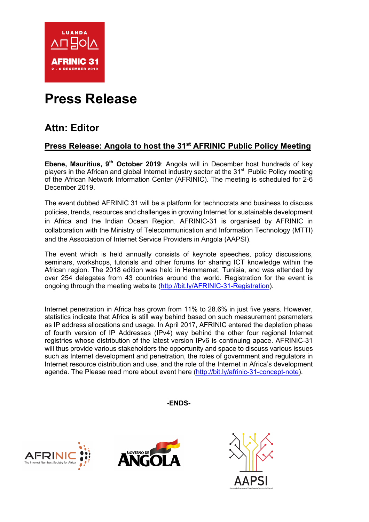

# **Press Release**

# **Attn: Editor**

## **Press Release: Angola to host the 31st AFRINIC Public Policy Meeting**

**Ebene. Mauritius, 9<sup>th</sup> October 2019**: Angola will in December host hundreds of key players in the African and global Internet industry sector at the 31<sup>st</sup> Public Policy meeting of the African Network Information Center (AFRINIC). The meeting is scheduled for 2-6 December 2019.

The event dubbed AFRINIC 31 will be a platform for technocrats and business to discuss policies, trends, resources and challenges in growing Internet for sustainable development in Africa and the Indian Ocean Region. AFRINIC-31 is organised by AFRINIC in collaboration with the Ministry of Telecommunication and Information Technology (MTTI) and the Association of Internet Service Providers in Angola (AAPSI).

The event which is held annually consists of keynote speeches, policy discussions, seminars, workshops, tutorials and other forums for sharing ICT knowledge within the African region. The 2018 edition was held in Hammamet, Tunisia, and was attended by over 254 delegates from 43 countries around the world. Registration for the event is ongoing through the meeting website (http://bit.ly/AFRINIC-31-Registration).

Internet penetration in Africa has grown from 11% to 28.6% in just five years. However, statistics indicate that Africa is still way behind based on such measurement parameters as IP address allocations and usage. In April 2017, AFRINIC entered the depletion phase of fourth version of IP Addresses (IPv4) way behind the other four regional Internet registries whose distribution of the latest version IPv6 is continuing apace. AFRINIC-31 will thus provide various stakeholders the opportunity and space to discuss various issues such as Internet development and penetration, the roles of government and regulators in Internet resource distribution and use, and the role of the Internet in Africa's development agenda. The Please read more about event here (http://bit.ly/afrinic-31-concept-note).

**-ENDS-**